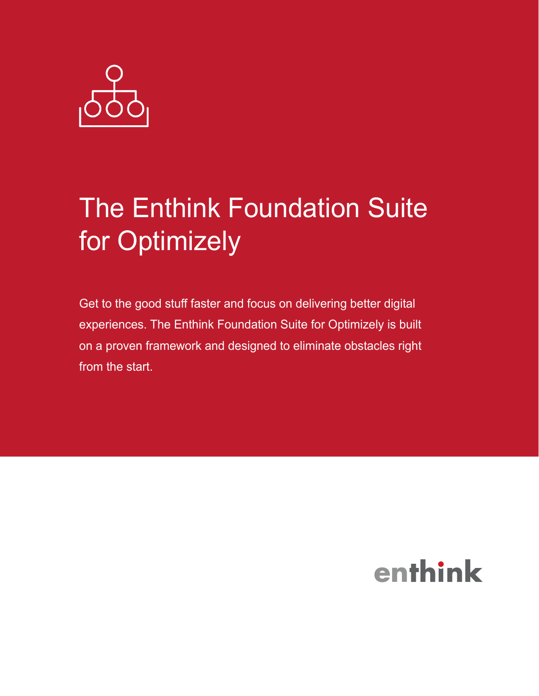

# The Enthink Foundation Suite for Optimizely

Get to the good stuff faster and focus on delivering better digital experiences. The Enthink Foundation Suite for Optimizely is built on a proven framework and designed to eliminate obstacles right from the start.

## enthink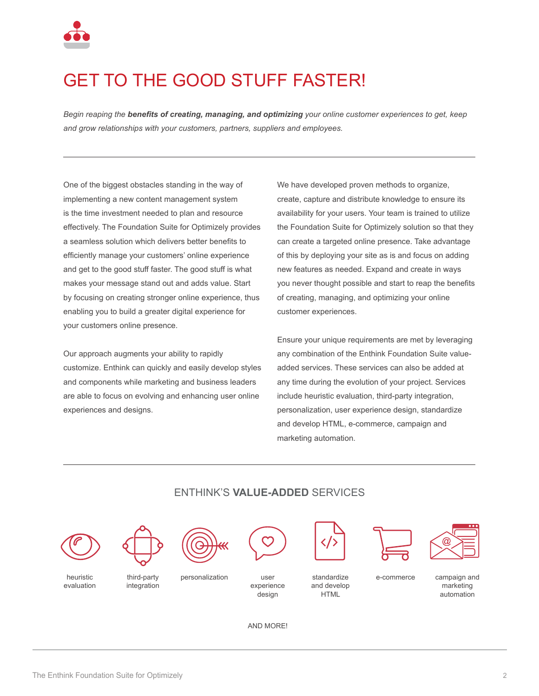

### GET TO THE GOOD STUFF FASTER!

*Begin reaping the benefits of creating, managing, and optimizing your online customer experiences to get, keep and grow relationships with your customers, partners, suppliers and employees.*

One of the biggest obstacles standing in the way of implementing a new content management system is the time investment needed to plan and resource effectively. The Foundation Suite for Optimizely provides a seamless solution which delivers better benefits to efficiently manage your customers' online experience and get to the good stuff faster. The good stuff is what makes your message stand out and adds value. Start by focusing on creating stronger online experience, thus enabling you to build a greater digital experience for your customers online presence.

Our approach augments your ability to rapidly customize. Enthink can quickly and easily develop styles and components while marketing and business leaders are able to focus on evolving and enhancing user online experiences and designs.

We have developed proven methods to organize, create, capture and distribute knowledge to ensure its availability for your users. Your team is trained to utilize the Foundation Suite for Optimizely solution so that they can create a targeted online presence. Take advantage of this by deploying your site as is and focus on adding new features as needed. Expand and create in ways you never thought possible and start to reap the benefits of creating, managing, and optimizing your online customer experiences.

Ensure your unique requirements are met by leveraging any combination of the Enthink Foundation Suite valueadded services. These services can also be added at any time during the evolution of your project. Services include heuristic evaluation, third-party integration, personalization, user experience design, standardize and develop HTML, e-commerce, campaign and marketing automation.



#### ENTHINK'S **VALUE-ADDED** SERVICES

AND MORE!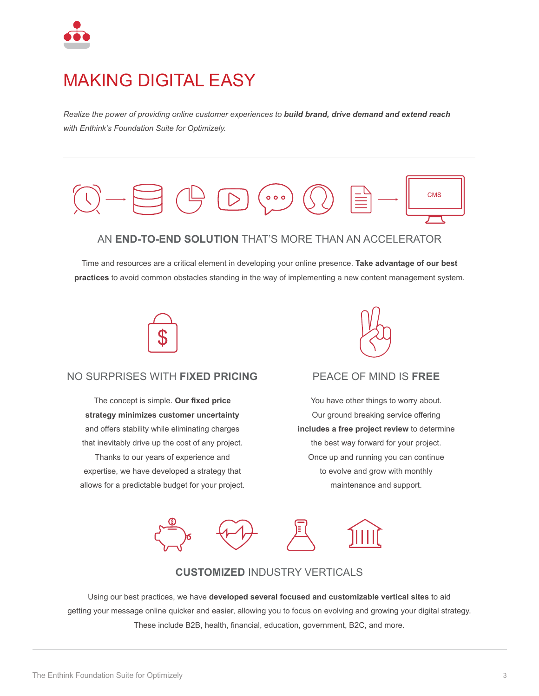

### MAKING DIGITAL EASY

*Realize the power of providing online customer experiences to build brand, drive demand and extend reach with Enthink's Foundation Suite for Optimizely.*



Time and resources are a critical element in developing your online presence. **Take advantage of our best practices** to avoid common obstacles standing in the way of implementing a new content management system.



#### NO SURPRISES WITH **FIXED PRICING**

The concept is simple. **Our fixed price strategy minimizes customer uncertainty** and offers stability while eliminating charges that inevitably drive up the cost of any project. Thanks to our years of experience and expertise, we have developed a strategy that allows for a predictable budget for your project.



#### PEACE OF MIND IS **FREE**

You have other things to worry about. Our ground breaking service offering **includes a free project review** to determine the best way forward for your project. Once up and running you can continue to evolve and grow with monthly maintenance and support.



#### **CUSTOMIZED** INDUSTRY VERTICALS

Using our best practices, we have **developed several focused and customizable vertical sites** to aid getting your message online quicker and easier, allowing you to focus on evolving and growing your digital strategy. These include B2B, health, financial, education, government, B2C, and more.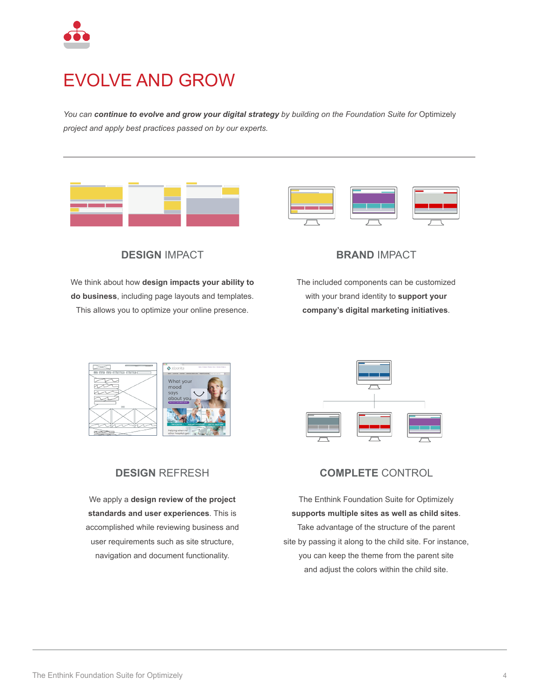

### EVOLVE AND GROW

*You can continue to evolve and grow your digital strategy by building on the Foundation Suite for* Optimizely *project and apply best practices passed on by our experts.* 





**DESIGN** IMPACT

We think about how **design impacts your ability to do business**, including page layouts and templates. This allows you to optimize your online presence.



The included components can be customized with your brand identity to **support your company's digital marketing initiatives**.





### **DESIGN** REFRESH

We apply a **design review of the project standards and user experiences**. This is accomplished while reviewing business and user requirements such as site structure, navigation and document functionality.



The Enthink Foundation Suite for Optimizely **supports multiple sites as well as child sites**. Take advantage of the structure of the parent site by passing it along to the child site. For instance, you can keep the theme from the parent site and adjust the colors within the child site.